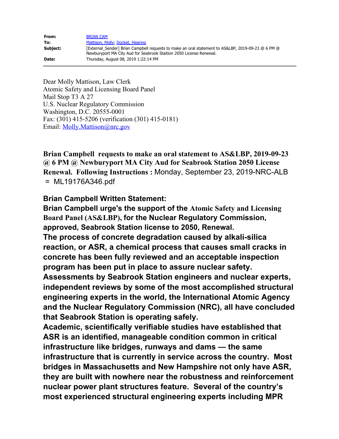| From:    | <b>BRIAN CAM</b>                                                                                                                                                          |
|----------|---------------------------------------------------------------------------------------------------------------------------------------------------------------------------|
| To:      | Mattison, Molly, Docket, Hearing                                                                                                                                          |
| Subject: | [External Sender] Brian Campbell requests to make an oral statement to AS&LBP, 2019-09-23 @ 6 PM @<br>Newburyport MA City Aud for Seabrook Staition 2050 License Renewal. |
| Date:    | Thursday, August 08, 2019 1:22:14 PM                                                                                                                                      |

Dear Molly Mattison, Law Clerk Atomic Safety and Licensing Board Panel Mail Stop T3 A 27 U.S. Nuclear Regulatory Commission Washington, D.C. 20555-0001 Fax: (301) 415-5206 (verification (301) 415-0181) Email: [Molly.Mattison@nrc.gov](mailto:Molly.Mattison@nrc.gov)

**Brian Campbell requests to make an oral statement to AS&LBP, 2019-09-23 @ 6 PM @ Newburyport MA City Aud for Seabrook Station 2050 License Renewal. Following Instructions :** Monday, September 23, 2019-NRC-ALB = ML19176A346.pdf

## **Brian Campbell Written Statement:**

**Brian Campbell urge's the support of the Atomic Safety and Licensing Board Panel (AS&LBP), for the Nuclear Regulatory Commission, approved, Seabrook Station license to 2050, Renewal. The process of concrete degradation caused by alkali-silica reaction, or ASR, a chemical process that causes small cracks in concrete has been fully reviewed and an acceptable inspection program has been put in place to assure nuclear safety. Assessments by Seabrook Station engineers and nuclear experts, independent reviews by some of the most accomplished structural engineering experts in the world, the International Atomic Agency and the Nuclear Regulatory Commission (NRC), all have concluded that Seabrook Station is operating safely.**

**Academic, scientifically verifiable studies have established that ASR is an identified, manageable condition common in critical infrastructure like bridges, runways and dams — the same infrastructure that is currently in service across the country. Most bridges in Massachusetts and New Hampshire not only have ASR, they are built with nowhere near the robustness and reinforcement nuclear power plant structures feature. Several of the country's most experienced structural engineering experts including MPR**